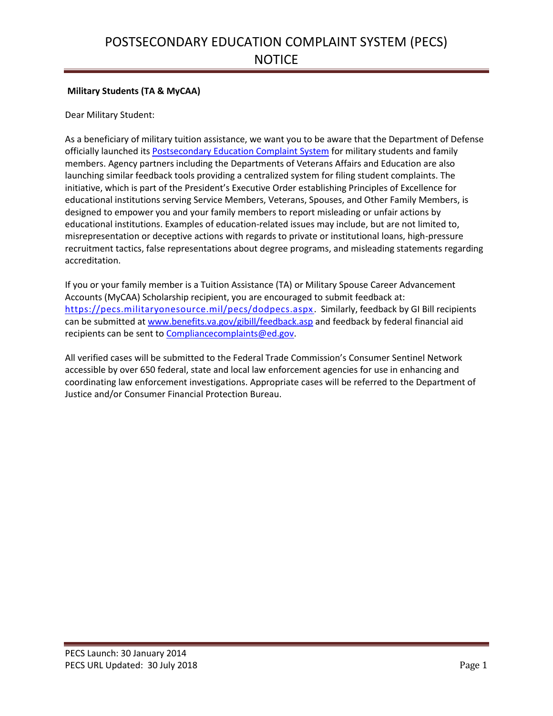## **Military Students (TA & MyCAA)**

Dear Military Student:

As a beneficiary of military tuition assistance, we want you to be aware that the Department of Defense officially launched it[s Postsecondary Education Complaint System](https://pecs.militaryonesource.mil/pecs/dodpecs.aspx) for military students and family members. Agency partners including the Departments of Veterans Affairs and Education are also launching similar feedback tools providing a centralized system for filing student complaints. The initiative, which is part of the President's Executive Order establishing Principles of Excellence for educational institutions serving Service Members, Veterans, Spouses, and Other Family Members, is designed to empower you and your family members to report misleading or unfair actions by educational institutions. Examples of education-related issues may include, but are not limited to, misrepresentation or deceptive actions with regards to private or institutional loans, high-pressure recruitment tactics, false representations about degree programs, and misleading statements regarding accreditation.

If you or your family member is a Tuition Assistance (TA) or Military Spouse Career Advancement Accounts (MyCAA) Scholarship recipient, you are encouraged to submit feedback at: <https://pecs.militaryonesource.mil/pecs/dodpecs.aspx> . Similarly, feedback by GI Bill recipients can be submitted a[t www.benefits.va.gov/gibill/feedback.asp](http://www.benefits.va.gov/gibill/feedback.asp) and feedback by federal financial aid recipients can be sent to [Compliancecomplaints@ed.gov.](mailto:Compliancecomplaints@ed.gov)

All verified cases will be submitted to the Federal Trade Commission's Consumer Sentinel Network accessible by over 650 federal, state and local law enforcement agencies for use in enhancing and coordinating law enforcement investigations. Appropriate cases will be referred to the Department of Justice and/or Consumer Financial Protection Bureau.